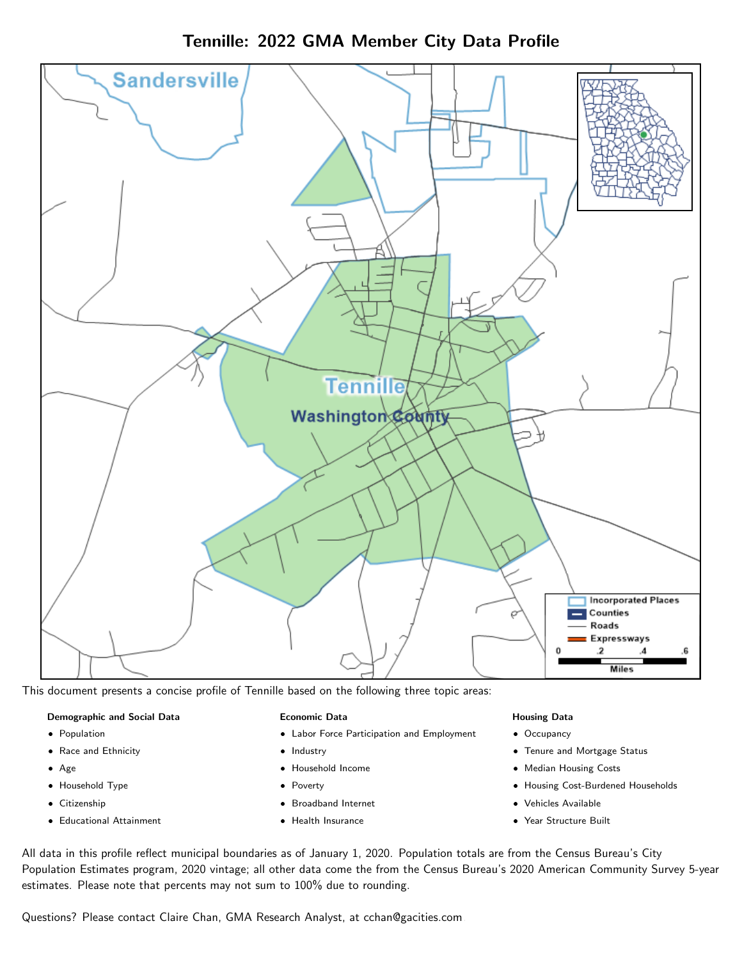

Tennille: 2022 GMA Member City Data Profile

This document presents a concise profile of Tennille based on the following three topic areas:

# Demographic and Social Data

- **•** Population
- Race and Ethnicity
- Age
- Household Type
- **Citizenship**
- Educational Attainment

#### Economic Data

- Labor Force Participation and Employment
- Industry
- Household Income
- Poverty
- Broadband Internet
- Health Insurance

#### Housing Data

- Occupancy
- Tenure and Mortgage Status
- Median Housing Costs
- Housing Cost-Burdened Households
- Vehicles Available
- $\bullet$ Year Structure Built

All data in this profile reflect municipal boundaries as of January 1, 2020. Population totals are from the Census Bureau's City Population Estimates program, 2020 vintage; all other data come the from the Census Bureau's 2020 American Community Survey 5-year estimates. Please note that percents may not sum to 100% due to rounding.

Questions? Please contact Claire Chan, GMA Research Analyst, at [cchan@gacities.com.](mailto:cchan@gacities.com)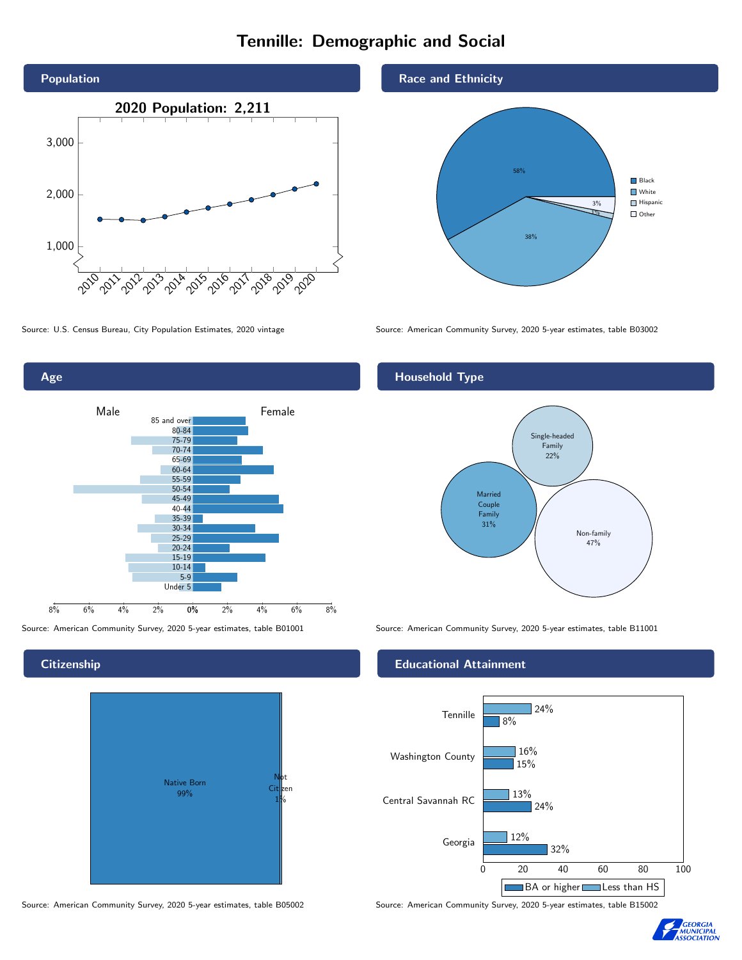# Tennille: Demographic and Social





### **Citizenship**



Source: American Community Survey, 2020 5-year estimates, table B05002 Source: American Community Survey, 2020 5-year estimates, table B15002





Source: U.S. Census Bureau, City Population Estimates, 2020 vintage Source: American Community Survey, 2020 5-year estimates, table B03002

## Household Type



Source: American Community Survey, 2020 5-year estimates, table B01001 Source: American Community Survey, 2020 5-year estimates, table B11001

#### Educational Attainment



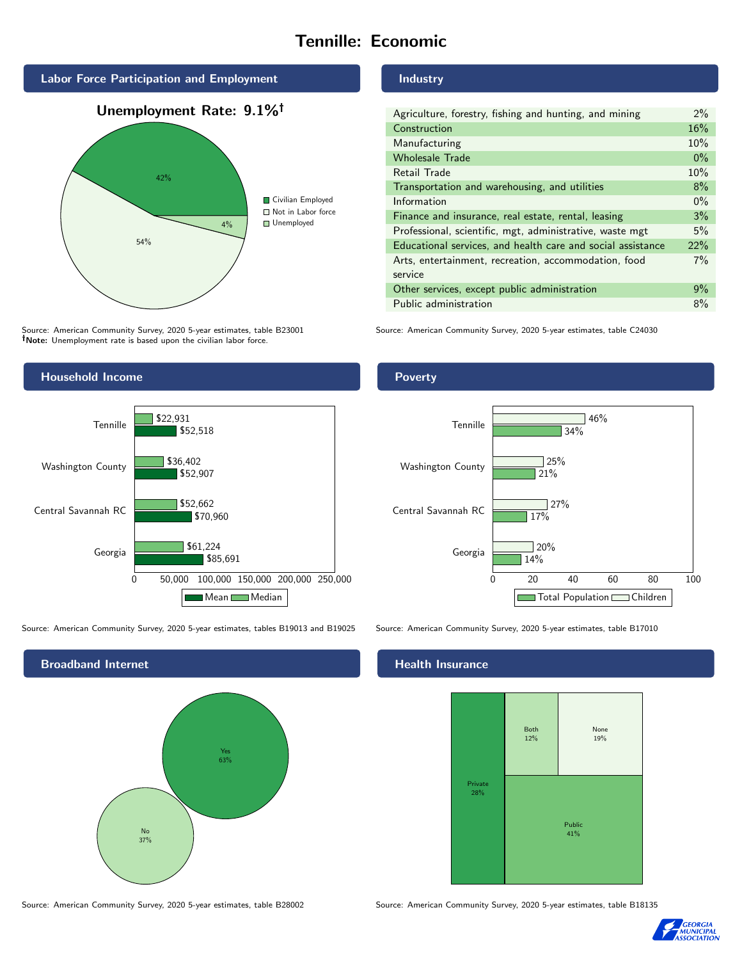# Tennille: Economic



Source: American Community Survey, 2020 5-year estimates, table B23001 Note: Unemployment rate is based upon the civilian labor force.

#### Industry

| Agriculture, forestry, fishing and hunting, and mining      | $2\%$ |
|-------------------------------------------------------------|-------|
| Construction                                                | 16%   |
| Manufacturing                                               | 10%   |
| <b>Wholesale Trade</b>                                      | $0\%$ |
| Retail Trade                                                | 10%   |
| Transportation and warehousing, and utilities               | 8%    |
| Information                                                 | $0\%$ |
| Finance and insurance, real estate, rental, leasing         | 3%    |
| Professional, scientific, mgt, administrative, waste mgt    | 5%    |
| Educational services, and health care and social assistance | 22%   |
| Arts, entertainment, recreation, accommodation, food        | 7%    |
| service                                                     |       |
| Other services, except public administration                | 9%    |
| Public administration                                       | 8%    |

Source: American Community Survey, 2020 5-year estimates, table C24030



Source: American Community Survey, 2020 5-year estimates, tables B19013 and B19025 Source: American Community Survey, 2020 5-year estimates, table B17010



Poverty



#### Health Insurance



Source: American Community Survey, 2020 5-year estimates, table B28002 Source: American Community Survey, 2020 5-year estimates, table B18135